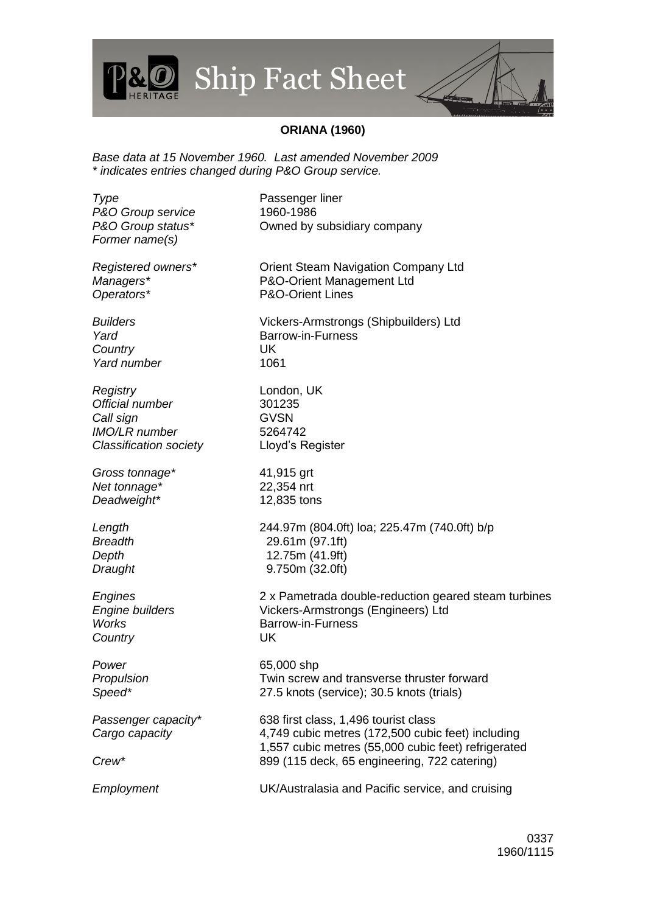## Ship Fact Sheet

## **ORIANA (1960)**

*Base data at 15 November 1960. Last amended November 2009 \* indicates entries changed during P&O Group service.*

**Type** Passenger liner *P&O Group service* 1960-1986 *P&O Group status\** Owned by subsidiary company *Former name(s) Registered owners\** Orient Steam Navigation Company Ltd *Managers\** P&O-Orient Management Ltd *Operators\** P&O-Orient Lines *Builders* Vickers-Armstrongs (Shipbuilders) Ltd *Yard* Barrow-in-Furness *Country* UK *Yard number* 1061 *Registry* London, UK *Official number* 301235 *Call sign* **GVSN** *IMO/LR number* 5264742 *Classification society* Lloyd's Register *Gross tonnage\** 41,915 grt *Net tonnage\** 22,354 nrt *Deadweight\** 12,835 tons *Length* 244.97m (804.0ft) loa; 225.47m (740.0ft) b/p *Breadth* 29.61m (97.1ft) *Depth* 12.75m (41.9ft) *Draught* 9.750m (32.0ft) *Engines* 2 x Pametrada double-reduction geared steam turbines *Engine builders* Vickers-Armstrongs (Engineers) Ltd *Works* Barrow-in-Furness *Country* UK *Power* 65,000 shp **Propulsion** Twin screw and transverse thruster forward *Speed\** 27.5 knots (service); 30.5 knots (trials) *Passenger capacity\** 638 first class, 1,496 tourist class *Cargo capacity* 4,749 cubic metres (172,500 cubic feet) including 1,557 cubic metres (55,000 cubic feet) refrigerated *Crew\** 899 (115 deck, 65 engineering, 722 catering) *Employment* UK/Australasia and Pacific service, and cruising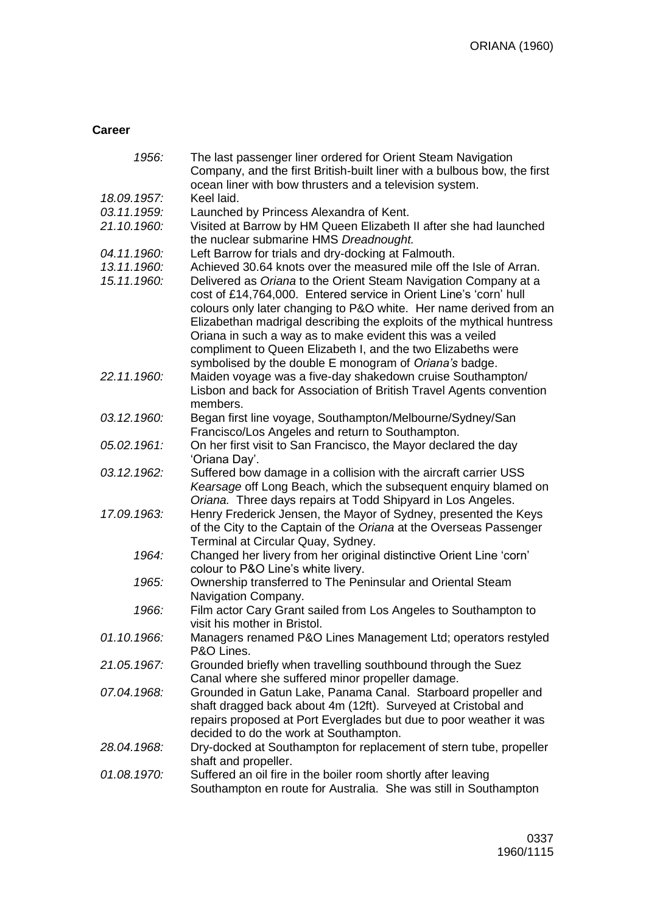## **Career**

| 1956:       | The last passenger liner ordered for Orient Steam Navigation<br>Company, and the first British-built liner with a bulbous bow, the first |
|-------------|------------------------------------------------------------------------------------------------------------------------------------------|
|             | ocean liner with bow thrusters and a television system.                                                                                  |
| 18.09.1957: | Keel laid.                                                                                                                               |
| 03.11.1959: | Launched by Princess Alexandra of Kent.                                                                                                  |
| 21.10.1960: | Visited at Barrow by HM Queen Elizabeth II after she had launched                                                                        |
|             | the nuclear submarine HMS Dreadnought.                                                                                                   |
| 04.11.1960: | Left Barrow for trials and dry-docking at Falmouth.                                                                                      |
| 13.11.1960: | Achieved 30.64 knots over the measured mile off the Isle of Arran.                                                                       |
| 15.11.1960: | Delivered as Oriana to the Orient Steam Navigation Company at a                                                                          |
|             | cost of £14,764,000. Entered service in Orient Line's 'corn' hull                                                                        |
|             | colours only later changing to P&O white. Her name derived from an                                                                       |
|             | Elizabethan madrigal describing the exploits of the mythical huntress                                                                    |
|             | Oriana in such a way as to make evident this was a veiled                                                                                |
|             | compliment to Queen Elizabeth I, and the two Elizabeths were                                                                             |
|             | symbolised by the double E monogram of Oriana's badge.                                                                                   |
| 22.11.1960: | Maiden voyage was a five-day shakedown cruise Southampton/                                                                               |
|             | Lisbon and back for Association of British Travel Agents convention                                                                      |
|             | members.                                                                                                                                 |
| 03.12.1960: | Began first line voyage, Southampton/Melbourne/Sydney/San                                                                                |
|             | Francisco/Los Angeles and return to Southampton.                                                                                         |
| 05.02.1961: | On her first visit to San Francisco, the Mayor declared the day                                                                          |
|             | 'Oriana Day'.                                                                                                                            |
| 03.12.1962: | Suffered bow damage in a collision with the aircraft carrier USS                                                                         |
|             | Kearsage off Long Beach, which the subsequent enquiry blamed on                                                                          |
|             | Oriana. Three days repairs at Todd Shipyard in Los Angeles.                                                                              |
| 17.09.1963: | Henry Frederick Jensen, the Mayor of Sydney, presented the Keys                                                                          |
|             | of the City to the Captain of the Oriana at the Overseas Passenger                                                                       |
|             | Terminal at Circular Quay, Sydney.                                                                                                       |
| 1964:       | Changed her livery from her original distinctive Orient Line 'corn'                                                                      |
|             | colour to P&O Line's white livery.                                                                                                       |
| 1965:       | Ownership transferred to The Peninsular and Oriental Steam                                                                               |
|             | Navigation Company.                                                                                                                      |
| 1966:       | Film actor Cary Grant sailed from Los Angeles to Southampton to                                                                          |
|             | visit his mother in Bristol.                                                                                                             |
| 01.10.1966: | Managers renamed P&O Lines Management Ltd; operators restyled                                                                            |
|             | P&O Lines.                                                                                                                               |
| 21.05.1967: | Grounded briefly when travelling southbound through the Suez                                                                             |
|             | Canal where she suffered minor propeller damage.                                                                                         |
| 07.04.1968: | Grounded in Gatun Lake, Panama Canal. Starboard propeller and                                                                            |
|             | shaft dragged back about 4m (12ft). Surveyed at Cristobal and                                                                            |
|             | repairs proposed at Port Everglades but due to poor weather it was                                                                       |
|             | decided to do the work at Southampton.                                                                                                   |
| 28.04.1968: | Dry-docked at Southampton for replacement of stern tube, propeller                                                                       |
|             | shaft and propeller.                                                                                                                     |
| 01.08.1970: | Suffered an oil fire in the boiler room shortly after leaving                                                                            |
|             | Southampton en route for Australia. She was still in Southampton                                                                         |